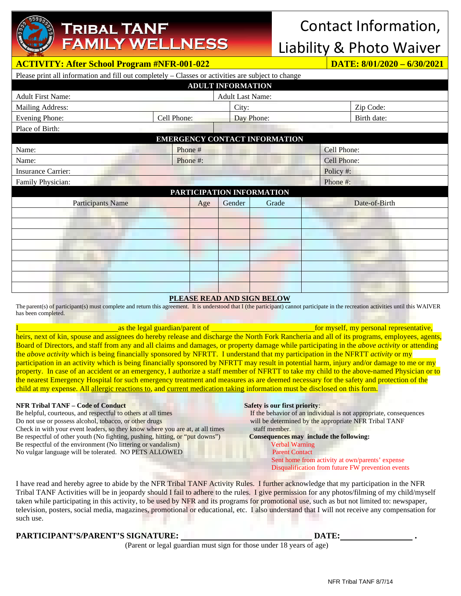

## **RIBAL TANF WELLNESS**

# Contact Information, Liability & Photo Waiver

 **ACTIVITY: After School Program #NFR-001-022 DATE: 8/01/2020 – 6/30/2021** 

| Please print all information and fill out completely – Classes or activities are subject to change |             |     |                          |                               |             |               |  |
|----------------------------------------------------------------------------------------------------|-------------|-----|--------------------------|-------------------------------|-------------|---------------|--|
|                                                                                                    |             |     | <b>ADULT INFORMATION</b> |                               |             |               |  |
| <b>Adult First Name:</b>                                                                           |             |     | <b>Adult Last Name:</b>  |                               |             |               |  |
| <b>Mailing Address:</b>                                                                            |             |     | City:                    |                               |             | Zip Code:     |  |
| <b>Evening Phone:</b>                                                                              | Cell Phone: |     | Day Phone:               |                               |             | Birth date:   |  |
| Place of Birth:                                                                                    |             |     |                          |                               |             |               |  |
|                                                                                                    |             |     |                          | EMERGENCY CONTACT INFORMATION |             |               |  |
| Name:                                                                                              | Phone #     |     |                          |                               | Cell Phone: |               |  |
| Name:                                                                                              | Phone #:    |     |                          |                               | Cell Phone: |               |  |
| <b>Insurance Carrier:</b>                                                                          |             |     | Policy #:                |                               |             |               |  |
| Family Physician:                                                                                  |             |     | Phone #:                 |                               |             |               |  |
|                                                                                                    |             |     |                          | PARTICIPATION INFORMATION     |             |               |  |
| <b>Participants Name</b>                                                                           |             | Age | Gender                   | Grade                         |             | Date-of-Birth |  |
|                                                                                                    |             |     |                          |                               |             |               |  |
|                                                                                                    |             |     |                          |                               |             |               |  |
|                                                                                                    |             |     |                          |                               |             |               |  |
|                                                                                                    |             |     |                          |                               |             |               |  |
|                                                                                                    |             |     |                          |                               |             |               |  |
|                                                                                                    |             |     |                          |                               |             |               |  |
|                                                                                                    |             |     |                          |                               |             |               |  |
|                                                                                                    |             |     |                          |                               |             |               |  |

#### **PLEASE READ AND SIGN BELOW**

The parent(s) of participant(s) must complete and return this agreement. It is understood that I (the participant) cannot participate in the recreation activities until this WAIVER has been completed.

I as the legal guardian/parent of for myself, my personal representative, heirs, next of kin, spouse and assignees do hereby release and discharge the North Fork Rancheria and all of its programs, employees, agents, Board of Directors, and staff from any and all claims and damages, or property damage while participating in the *above activity* or attending the *above activity* which is being financially sponsored by NFRTT. I understand that my participation in the NFRTT *activity* or my participation in an activity which is being financially sponsored by NFRTT may result in potential harm, injury and/or damage to me or my property. In case of an accident or an emergency, I authorize a staff member of NFRTT to take my child to the above-named Physician or to the nearest Emergency Hospital for such emergency treatment and measures as are deemed necessary for the safety and protection of the child at my expense. All allergic reactions to, and current medication taking information must be disclosed on this form.

**NFR Tribal TANF – Code of Conduct Safety is our first priority:**<br>Be helpful, courteous, and respectful to others at all times **Safety Safety** is our first priority: Do not use or possess alcohol, tobacco, or other drugs will be determined by the appropriate NFR Tribal TANF Check in with your event leaders, so they know where you are at, at all times staff member. Be respectful of other youth (No fighting, pushing, hitting, or "put downs") **Consequences may include the following:** Be respectful of the environment (No littering or vandalism) Verbal Warning No vulgar language will be tolerated. NO PETS ALLOWED Parent Contact

If the behavior of an individual is not appropriate, consequences Sent home from activity at own/parents' expense Disqualification from future FW prevention events

I have read and hereby agree to abide by the NFR Tribal TANF Activity Rules. I further acknowledge that my participation in the NFR Tribal TANF Activities will be in jeopardy should I fail to adhere to the rules. I give permission for any photos/filming of my child/myself taken while participating in this activity, to be used by NFR and its programs for promotional use, such as but not limited to: newspaper, television, posters, social media, magazines, promotional or educational, etc. I also understand that I will not receive any compensation for such use.

#### **PARTICIPANT'S/PARENT'S SIGNATURE: DATE: .**

(Parent or legal guardian must sign for those under 18 years of age)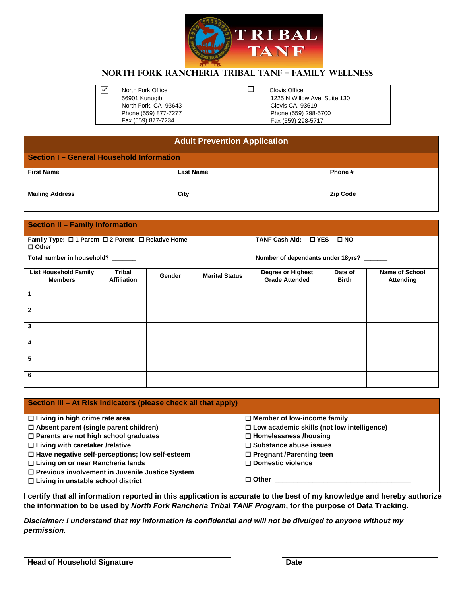

### **North Fork Rancheria Tribal TANF – Family wellness**

☑ North Fork Office 56901 Kunugib North Fork, CA 93643 Phone (559) 877-7277 Fax (559) 877-7234

 $\square$  Clovis Office 1225 N Willow Ave, Suite 130 Clovis CA, 93619 Phone (559) 298-5700 Fax (559) 298-5717

#### **Adult Prevention Application**

| <b>Section I- General Household Information</b> |                  |                 |  |  |
|-------------------------------------------------|------------------|-----------------|--|--|
| <b>First Name</b>                               | <b>Last Name</b> | Phone#          |  |  |
| <b>Mailing Address</b>                          | City             | <b>Zip Code</b> |  |  |

| <b>Section II - Family Information</b>                                               |                                     |        |                       |                                            |                                          |                                           |  |
|--------------------------------------------------------------------------------------|-------------------------------------|--------|-----------------------|--------------------------------------------|------------------------------------------|-------------------------------------------|--|
| Family Type: $\Box$ 1-Parent $\Box$ 2-Parent $\Box$ Relative Home<br>$\square$ Other |                                     |        |                       |                                            |                                          |                                           |  |
| Total number in household? ______                                                    |                                     |        |                       |                                            | Number of dependants under 18yrs? ______ |                                           |  |
| <b>List Household Family</b><br><b>Members</b>                                       | <b>Tribal</b><br><b>Affiliation</b> | Gender | <b>Marital Status</b> | Degree or Highest<br><b>Grade Attended</b> | Date of<br><b>Birth</b>                  | <b>Name of School</b><br><b>Attending</b> |  |
|                                                                                      |                                     |        |                       |                                            |                                          |                                           |  |
| $\mathbf{2}$                                                                         |                                     |        |                       |                                            |                                          |                                           |  |
| 3                                                                                    |                                     |        |                       |                                            |                                          |                                           |  |
| 4                                                                                    |                                     |        |                       |                                            |                                          |                                           |  |
| 5                                                                                    |                                     |        |                       |                                            |                                          |                                           |  |
| 6                                                                                    |                                     |        |                       |                                            |                                          |                                           |  |

| Section III – At Risk Indicators (please check all that apply) |                                                   |
|----------------------------------------------------------------|---------------------------------------------------|
| $\Box$ Living in high crime rate area                          | $\Box$ Member of low-income family                |
| $\Box$ Absent parent (single parent children)                  | $\Box$ Low academic skills (not low intelligence) |
| $\Box$ Parents are not high school graduates                   | □ Homelessness /housing                           |
| □ Living with caretaker /relative                              | □ Substance abuse issues                          |
| □ Have negative self-perceptions; low self-esteem              | □ Pregnant /Parenting teen                        |
| □ Living on or near Rancheria lands                            | □ Domestic violence                               |
| □ Previous involvement in Juvenile Justice System              |                                                   |
| $\Box$ Living in unstable school district                      | $\Box$ Other                                      |

**I certify that all information reported in this application is accurate to the best of my knowledge and hereby authorize the information to be used by** *North Fork Rancheria Tribal TANF Program***, for the purpose of Data Tracking.** 

*Disclaimer: I understand that my information is confidential and will not be divulged to anyone without my permission.*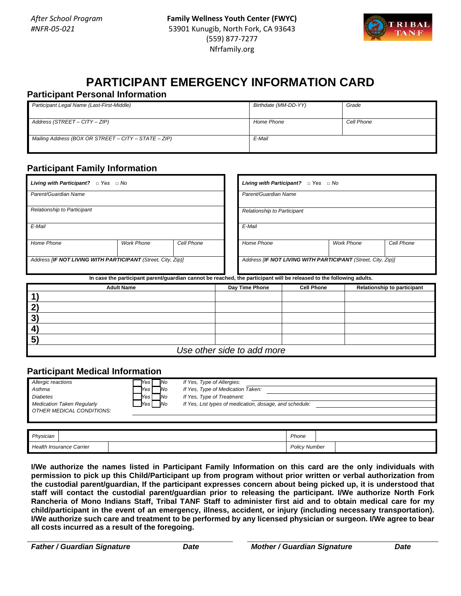

## **PARTICIPANT EMERGENCY INFORMATION CARD**

| <b>Participant Personal Information</b>              |                      |            |
|------------------------------------------------------|----------------------|------------|
| Participant Legal Name (Last-First-Middle)           | Birthdate (MM-DD-YY) | Grade      |
| Address (STREET – CITY – ZIP)                        | Home Phone           | Cell Phone |
| Mailing Address (BOX OR STREET - CITY - STATE - ZIP) | E-Mail               |            |

## **Participant Family Information**

| Living with Participant? $\Box$ Yes $\Box$ No |                                                                                                                                                                                      |            |                                 | Living with Participant? $\Box$ Yes $\Box$ No                |  |                             |  |  |
|-----------------------------------------------|--------------------------------------------------------------------------------------------------------------------------------------------------------------------------------------|------------|---------------------------------|--------------------------------------------------------------|--|-----------------------------|--|--|
| Parent/Guardian Name                          |                                                                                                                                                                                      |            |                                 | Parent/Guardian Name                                         |  |                             |  |  |
| Relationship to Participant                   |                                                                                                                                                                                      |            |                                 | Relationship to Participant                                  |  |                             |  |  |
| E-Mail                                        |                                                                                                                                                                                      | E-Mail     |                                 |                                                              |  |                             |  |  |
| Home Phone                                    | <b>Work Phone</b>                                                                                                                                                                    | Cell Phone | Home Phone<br><b>Work Phone</b> |                                                              |  | Cell Phone                  |  |  |
|                                               | Address [IF NOT LIVING WITH PARTICIPANT (Street, City, Zip)]<br>In case the participant parent/guardian cannot be reached, the participant will be released to the following adults. |            |                                 | Address [IF NOT LIVING WITH PARTICIPANT (Street, City, Zip)] |  |                             |  |  |
|                                               | <b>Adult Name</b>                                                                                                                                                                    |            | Day Time Phone                  | <b>Cell Phone</b>                                            |  | Relationship to participant |  |  |
|                                               |                                                                                                                                                                                      |            |                                 |                                                              |  |                             |  |  |
| 2)                                            |                                                                                                                                                                                      |            |                                 |                                                              |  |                             |  |  |
| 3)                                            |                                                                                                                                                                                      |            |                                 |                                                              |  |                             |  |  |
| $\boldsymbol{4}$                              |                                                                                                                                                                                      |            |                                 |                                                              |  |                             |  |  |
| 5)                                            |                                                                                                                                                                                      |            |                                 |                                                              |  |                             |  |  |
|                                               |                                                                                                                                                                                      |            | Use other side to add more      |                                                              |  |                             |  |  |

#### **Participant Medical Information**

| Allergic reactions                | 7No<br><b>Yes</b>       | If Yes, Type of Allergies:                              |
|-----------------------------------|-------------------------|---------------------------------------------------------|
| Asthma                            | <b>No</b><br><b>Yes</b> | If Yes, Type of Medication Taken:                       |
| <b>Diabetes</b>                   | <b>INo</b><br>Yes       | If Yes, Type of Treatment:                              |
| <b>Medication Taken Regularly</b> | <b>I</b> No<br>[Yes     | If Yes, List types of medication, dosage, and schedule: |
| OTHER MEDICAL CONDITIONS:         |                         |                                                         |
|                                   |                         |                                                         |

| Physician                       | Phone                |  |
|---------------------------------|----------------------|--|
| <b>Health Insurance Carrier</b> | <b>Policy Number</b> |  |

**I/We authorize the names listed in Participant Family Information on this card are the only individuals with permission to pick up this Child/Participant up from program without prior written or verbal authorization from the custodial parent/guardian, If the participant expresses concern about being picked up, it is understood that staff will contact the custodial parent/guardian prior to releasing the participant. I/We authorize North Fork Rancheria of Mono Indians Staff, Tribal TANF Staff to administer first aid and to obtain medical care for my child/participant in the event of an emergency, illness, accident, or injury (including necessary transportation). I/We authorize such care and treatment to be performed by any licensed physician or surgeon. I/We agree to bear all costs incurred as a result of the foregoing.**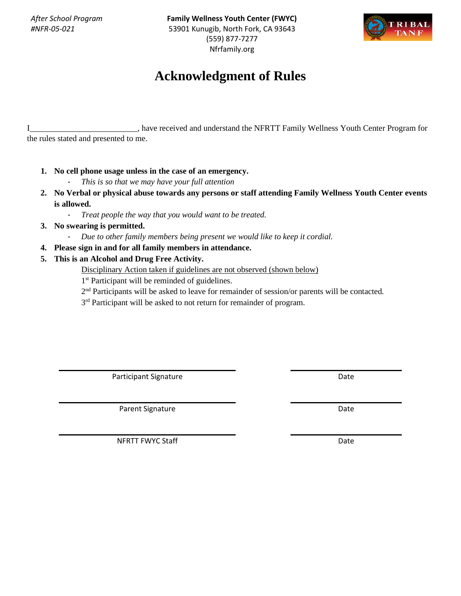*After School Program #NFR-05-021*



## **Acknowledgment of Rules**

I\_\_\_\_\_\_\_\_\_\_\_\_\_\_\_\_\_\_\_\_\_\_\_\_\_\_, have received and understand the NFRTT Family Wellness Youth Center Program for the rules stated and presented to me.

- **1. No cell phone usage unless in the case of an emergency.** 
	- *This is so that we may have your full attention*
- **2. No Verbal or physical abuse towards any persons or staff attending Family Wellness Youth Center events is allowed.** 
	- *Treat people the way that you would want to be treated.*
- **3. No swearing is permitted.**
	- *Due to other family members being present we would like to keep it cordial.*
- **4. Please sign in and for all family members in attendance.**
- **5. This is an Alcohol and Drug Free Activity.**
	- Disciplinary Action taken if guidelines are not observed (shown below)
	- 1<sup>st</sup> Participant will be reminded of guidelines.
	- 2<sup>nd</sup> Participants will be asked to leave for remainder of session/or parents will be contacted.
	- $3<sup>rd</sup>$  Participant will be asked to not return for remainder of program.

Participant Signature Date Date

Parent Signature Date Date

NFRTT FWYC Staff Date Date Date Date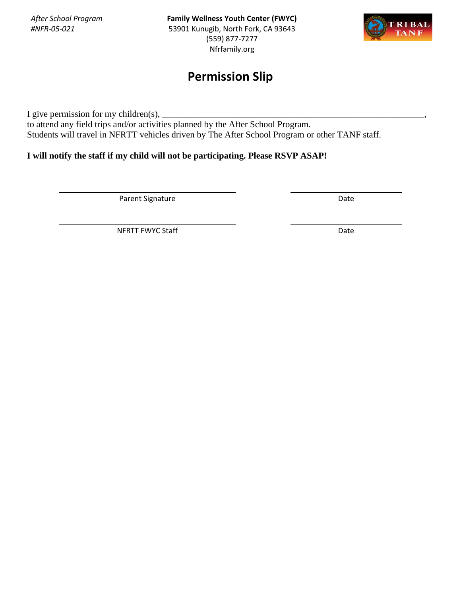

## **Permission Slip**

I give permission for my children(s),  $\frac{1}{\sqrt{2}}$ 

to attend any field trips and/or activities planned by the After School Program. Students will travel in NFRTT vehicles driven by The After School Program or other TANF staff.

## **I will notify the staff if my child will not be participating. Please RSVP ASAP!**

Parent Signature Date Date

NFRTT FWYC Staff Date Date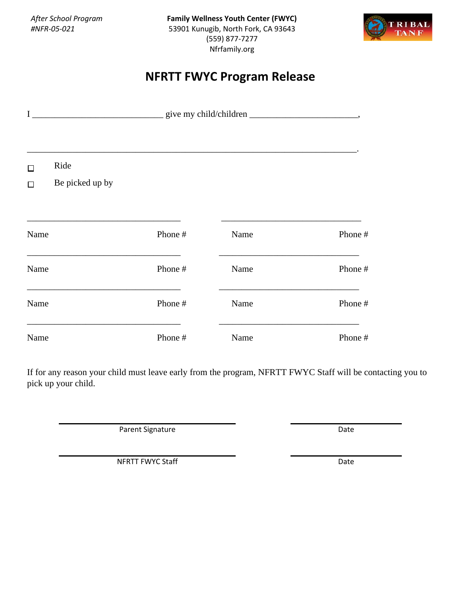

## **NFRTT FWYC Program Release**

| $\Box$<br>$\Box$ | Ride<br>Be picked up by |         |      |         |
|------------------|-------------------------|---------|------|---------|
| Name             |                         | Phone # | Name | Phone # |
| Name             |                         | Phone # | Name | Phone # |
| Name             |                         | Phone # | Name | Phone # |
| Name             |                         | Phone # | Name | Phone # |

If for any reason your child must leave early from the program, NFRTT FWYC Staff will be contacting you to pick up your child.

Parent Signature Date

NFRTT FWYC Staff Date Date Date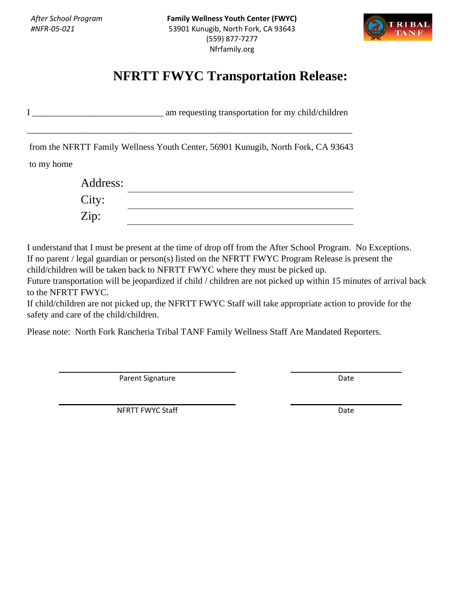*After School Program #NFR-05-021*



## **NFRTT FWYC Transportation Release:**

I am requesting transportation for my child/children

 from the NFRTT Family Wellness Youth Center, 56901 Kunugib, North Fork, CA 93643 to my home

\_\_\_\_\_\_\_\_\_\_\_\_\_\_\_\_\_\_\_\_\_\_\_\_\_\_\_\_\_\_\_\_\_\_\_\_\_\_\_\_\_\_\_\_\_\_\_\_\_\_\_\_\_\_\_\_\_\_\_\_\_\_\_\_\_\_\_\_\_\_\_\_

| Address: |  |
|----------|--|
| City:    |  |
| Zip:     |  |

I understand that I must be present at the time of drop off from the After School Program. No Exceptions. If no parent / legal guardian or person(s) listed on the NFRTT FWYC Program Release is present the child/children will be taken back to NFRTT FWYC where they must be picked up.

Future transportation will be jeopardized if child / children are not picked up within 15 minutes of arrival back to the NFRTT FWYC.

If child/children are not picked up, the NFRTT FWYC Staff will take appropriate action to provide for the safety and care of the child/children.

Please note: North Fork Rancheria Tribal TANF Family Wellness Staff Are Mandated Reporters.

Parent Signature Date

NFRTT FWYC Staff Date Date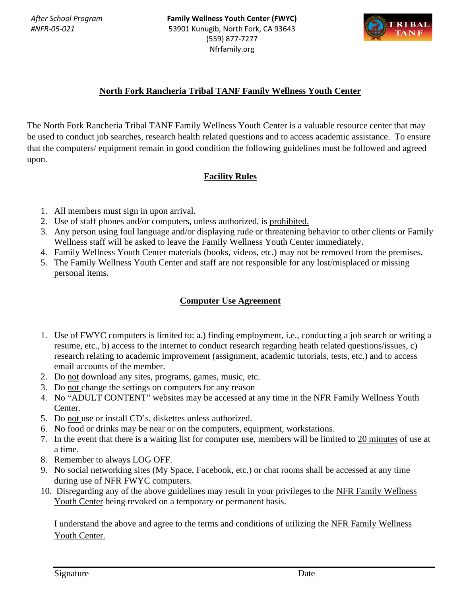

### **North Fork Rancheria Tribal TANF Family Wellness Youth Center**

The North Fork Rancheria Tribal TANF Family Wellness Youth Center is a valuable resource center that may be used to conduct job searches, research health related questions and to access academic assistance. To ensure that the computers/ equipment remain in good condition the following guidelines must be followed and agreed upon.

## **Facility Rules**

- 1. All members must sign in upon arrival.
- 2. Use of staff phones and/or computers, unless authorized, is prohibited.
- 3. Any person using foul language and/or displaying rude or threatening behavior to other clients or Family Wellness staff will be asked to leave the Family Wellness Youth Center immediately.
- 4. Family Wellness Youth Center materials (books, videos, etc.) may not be removed from the premises.
- 5. The Family Wellness Youth Center and staff are not responsible for any lost/misplaced or missing personal items.

## **Computer Use Agreement**

- 1. Use of FWYC computers is limited to: a.) finding employment, i.e., conducting a job search or writing a resume, etc., b) access to the internet to conduct research regarding heath related questions/issues, c) research relating to academic improvement (assignment, academic tutorials, tests, etc.) and to access email accounts of the member.
- 2. Do not download any sites, programs, games, music, etc.
- 3. Do not change the settings on computers for any reason
- 4. No "ADULT CONTENT" websites may be accessed at any time in the NFR Family Wellness Youth Center.
- 5. Do not use or install CD's, diskettes unless authorized.
- 6. No food or drinks may be near or on the computers, equipment, workstations.
- 7. In the event that there is a waiting list for computer use, members will be limited to 20 minutes of use at a time.
- 8. Remember to always LOG OFF.
- 9. No social networking sites (My Space, Facebook, etc.) or chat rooms shall be accessed at any time during use of NFR FWYC computers.
- 10. Disregarding any of the above guidelines may result in your privileges to the NFR Family Wellness Youth Center being revoked on a temporary or permanent basis.

I understand the above and agree to the terms and conditions of utilizing the NFR Family Wellness Youth Center.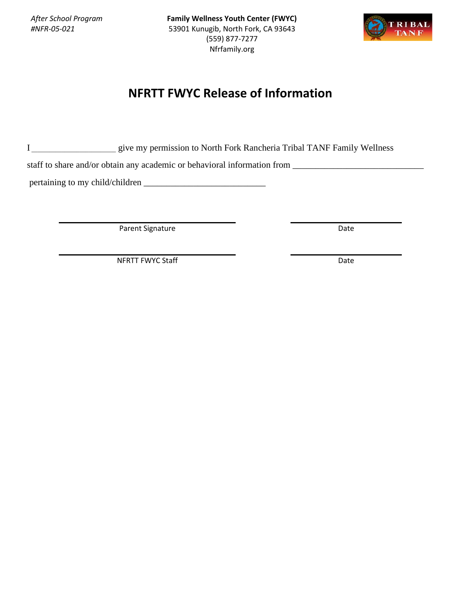*After School Program #NFR-05-021*



## **NFRTT FWYC Release of Information**

I \_\_\_\_\_\_\_\_\_\_\_\_\_\_\_\_\_\_\_\_\_\_\_\_\_\_\_\_ give my permission to North Fork Rancheria Tribal TANF Family Wellness

staff to share and/or obtain any academic or behavioral information from \_\_\_\_\_\_\_\_\_\_\_\_\_\_\_\_\_\_\_\_\_\_\_\_\_\_\_\_\_

pertaining to my child/children

Parent Signature Date Date

NFRTT FWYC Staff Date New York 2012 19:30 Note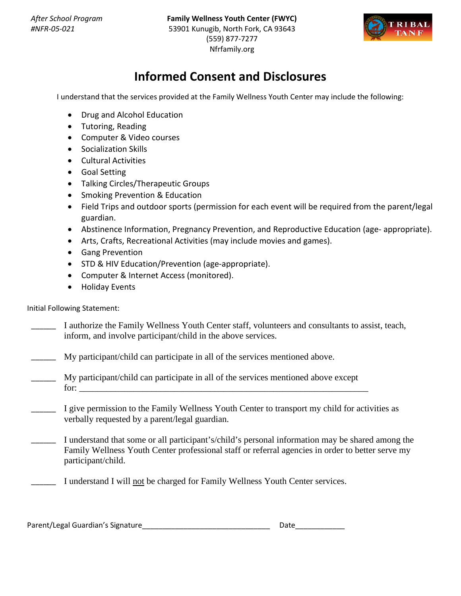

## **Informed Consent and Disclosures**

I understand that the services provided at the Family Wellness Youth Center may include the following:

- Drug and Alcohol Education
- Tutoring, Reading
- Computer & Video courses
- Socialization Skills
- Cultural Activities
- Goal Setting
- Talking Circles/Therapeutic Groups
- Smoking Prevention & Education
- Field Trips and outdoor sports (permission for each event will be required from the parent/legal guardian.
- Abstinence Information, Pregnancy Prevention, and Reproductive Education (age- appropriate).
- Arts, Crafts, Recreational Activities (may include movies and games).
- Gang Prevention
- STD & HIV Education/Prevention (age-appropriate).
- Computer & Internet Access (monitored).
- Holiday Events

Initial Following Statement:

| I authorize the Family Wellness Youth Center staff, volunteers and consultants to assist, teach, |
|--------------------------------------------------------------------------------------------------|
| inform, and involve participant/child in the above services.                                     |

- \_\_\_\_\_\_ My participant/child can participate in all of the services mentioned above.
- My participant/child can participate in all of the services mentioned above except for:  $\Box$
- I give permission to the Family Wellness Youth Center to transport my child for activities as verbally requested by a parent/legal guardian.
- \_\_\_\_\_\_ I understand that some or all participant's/child's personal information may be shared among the Family Wellness Youth Center professional staff or referral agencies in order to better serve my participant/child.

I understand I will not be charged for Family Wellness Youth Center services.

| Parent/Legal Guardian's Signature |  | Date |
|-----------------------------------|--|------|
|-----------------------------------|--|------|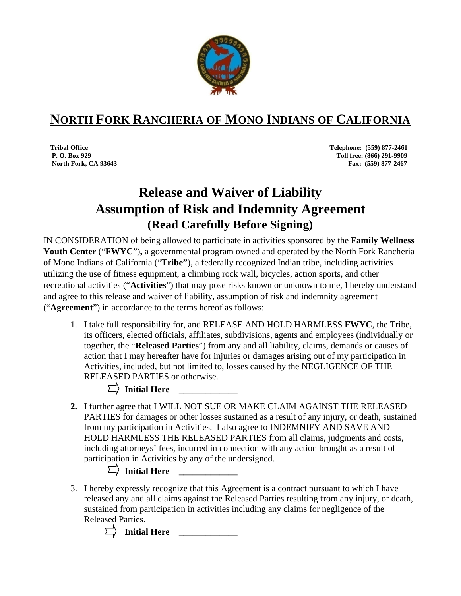

## **NORTH FORK RANCHERIA OF MONO INDIANS OF CALIFORNIA**

**Tribal Office** Telephone: (559) 877-2461  **P. O. Box 929 Toll free: (866) 291-9909 North Fork, CA 93643** Fax: (559) 877-2467

## **Release and Waiver of Liability Assumption of Risk and Indemnity Agreement (Read Carefully Before Signing)**

IN CONSIDERATION of being allowed to participate in activities sponsored by the **Family Wellness Youth Center** ("**FWYC**")**,** a governmental program owned and operated by the North Fork Rancheria of Mono Indians of California ("**Tribe"**), a federally recognized Indian tribe, including activities utilizing the use of fitness equipment, a climbing rock wall, bicycles, action sports, and other recreational activities ("**Activities**") that may pose risks known or unknown to me, I hereby understand and agree to this release and waiver of liability, assumption of risk and indemnity agreement ("**Agreement**") in accordance to the terms hereof as follows:

- 1. I take full responsibility for, and RELEASE AND HOLD HARMLESS **FWYC**, the Tribe, its officers, elected officials, affiliates, subdivisions, agents and employees (individually or together, the "**Released Parties**") from any and all liability, claims, demands or causes of action that I may hereafter have for injuries or damages arising out of my participation in Activities, included, but not limited to, losses caused by the NEGLIGENCE OF THE RELEASED PARTIES or otherwise.
	- $\sum$  Initial Here
- **2.** I further agree that I WILL NOT SUE OR MAKE CLAIM AGAINST THE RELEASED PARTIES for damages or other losses sustained as a result of any injury, or death, sustained from my participation in Activities. I also agree to INDEMNIFY AND SAVE AND HOLD HARMLESS THE RELEASED PARTIES from all claims, judgments and costs, including attorneys' fees, incurred in connection with any action brought as a result of participation in Activities by any of the undersigned.

 $\sum$  Initial Here

3. I hereby expressly recognize that this Agreement is a contract pursuant to which I have released any and all claims against the Released Parties resulting from any injury, or death, sustained from participation in activities including any claims for negligence of the Released Parties.

 $\sum$ **Initial Here \_\_\_\_\_\_\_\_\_\_\_\_\_**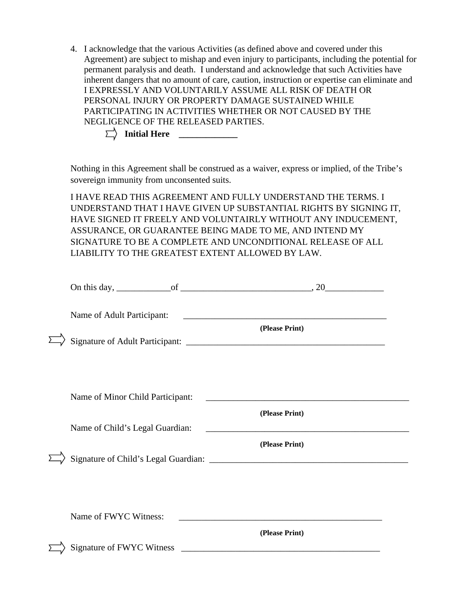4. I acknowledge that the various Activities (as defined above and covered under this Agreement) are subject to mishap and even injury to participants, including the potential for permanent paralysis and death. I understand and acknowledge that such Activities have inherent dangers that no amount of care, caution, instruction or expertise can eliminate and I EXPRESSLY AND VOLUNTARILY ASSUME ALL RISK OF DEATH OR PERSONAL INJURY OR PROPERTY DAMAGE SUSTAINED WHILE PARTICIPATING IN ACTIVITIES WHETHER OR NOT CAUSED BY THE NEGLIGENCE OF THE RELEASED PARTIES.

|  | <b>Initial Here</b> |  |
|--|---------------------|--|
|--|---------------------|--|

Nothing in this Agreement shall be construed as a waiver, express or implied, of the Tribe's sovereign immunity from unconsented suits.

I HAVE READ THIS AGREEMENT AND FULLY UNDERSTAND THE TERMS. I UNDERSTAND THAT I HAVE GIVEN UP SUBSTANTIAL RIGHTS BY SIGNING IT, HAVE SIGNED IT FREELY AND VOLUNTAIRLY WITHOUT ANY INDUCEMENT, ASSURANCE, OR GUARANTEE BEING MADE TO ME, AND INTEND MY SIGNATURE TO BE A COMPLETE AND UNCONDITIONAL RELEASE OF ALL LIABILITY TO THE GREATEST EXTENT ALLOWED BY LAW.

|                                                                     | (Please Print)                                                                                        |
|---------------------------------------------------------------------|-------------------------------------------------------------------------------------------------------|
| Name of Minor Child Participant:<br>Name of Child's Legal Guardian: | <u> 1980 - Johann John Stone, mars eta biztanleria (h. 1980).</u><br>(Please Print)<br>(Please Print) |
| Name of FWYC Witness:<br>Signature of FWYC Witness                  | <u> 1980 - John Stein, Amerikaansk politiker († 1908)</u><br>(Please Print)                           |